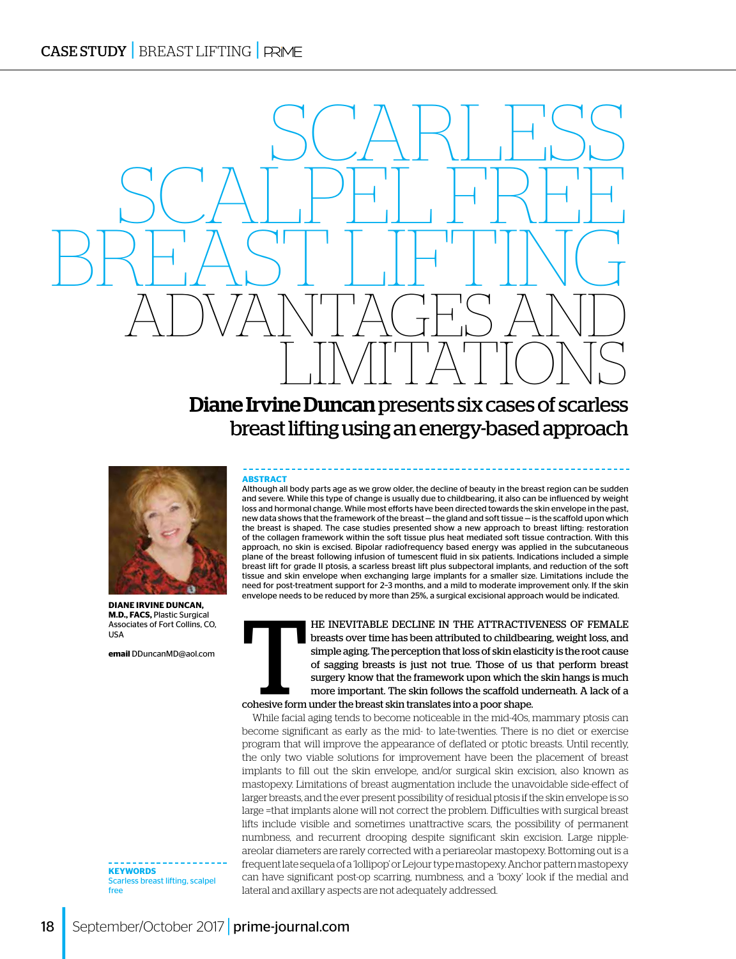## LIMITATIONS Diane Irvine Duncan presents six cases of scarless breast lifting using an energy-based approach

SCALPEL FREE

ADVANTAGES AND

BREAST LIFTING



**DIANE IRVINE DUNCAN, M.D., FACS,** Plastic Surgical Associates of Fort Collins, CO, USA

**email** DDuncanMD@aol.com

**KEYWORDS**  Scarless breast lifting, scalpel free

#### **ABSTRACT**

Although all body parts age as we grow older, the decline of beauty in the breast region can be sudden and severe. While this type of change is usually due to childbearing, it also can be influenced by weight loss and hormonal change. While most efforts have been directed towards the skin envelope in the past, new data shows that the framework of the breast—the gland and soft tissue—is the scaffold upon which the breast is shaped. The case studies presented show a new approach to breast lifting: restoration of the collagen framework within the soft tissue plus heat mediated soft tissue contraction. With this approach, no skin is excised. Bipolar radiofrequency based energy was applied in the subcutaneous plane of the breast following infusion of tumescent fluid in six patients. Indications included a simple breast lift for grade II ptosis, a scarless breast lift plus subpectoral implants, and reduction of the soft tissue and skin envelope when exchanging large implants for a smaller size. Limitations include the need for post-treatment support for 2–3 months, and a mild to moderate improvement only. If the skin envelope needs to be reduced by more than 25%, a surgical excisional approach would be indicated.

SCARLESS



HE INEVITABLE DECLINE IN THE ATTRACTIVENESS OF FEMALE<br>breasts over time has been attributed to childbearing, weight loss, and<br>simple aging. The perception that loss of skin elasticity is the root cause<br>of sagging breasts i breasts over time has been attributed to childbearing, weight loss, and simple aging. The perception that loss of skin elasticity is the root cause of sagging breasts is just not true. Those of us that perform breast surgery know that the framework upon which the skin hangs is much more important. The skin follows the scaffold underneath. A lack of a cohesive form under the breast skin translates into a poor shape.

While facial aging tends to become noticeable in the mid-40s, mammary ptosis can become significant as early as the mid- to late-twenties. There is no diet or exercise program that will improve the appearance of deflated or ptotic breasts. Until recently, the only two viable solutions for improvement have been the placement of breast implants to fill out the skin envelope, and/or surgical skin excision, also known as mastopexy. Limitations of breast augmentation include the unavoidable side-effect of larger breasts, and the ever present possibility of residual ptosis if the skin envelope is so large =that implants alone will not correct the problem. Difficulties with surgical breast lifts include visible and sometimes unattractive scars, the possibility of permanent numbness, and recurrent drooping despite significant skin excision. Large nippleareolar diameters are rarely corrected with a periareolar mastopexy. Bottoming out is a frequent late sequela of a 'lollipop' or Lejour type mastopexy. Anchor pattern mastopexy can have significant post-op scarring, numbness, and a 'boxy' look if the medial and lateral and axillary aspects are not adequately addressed.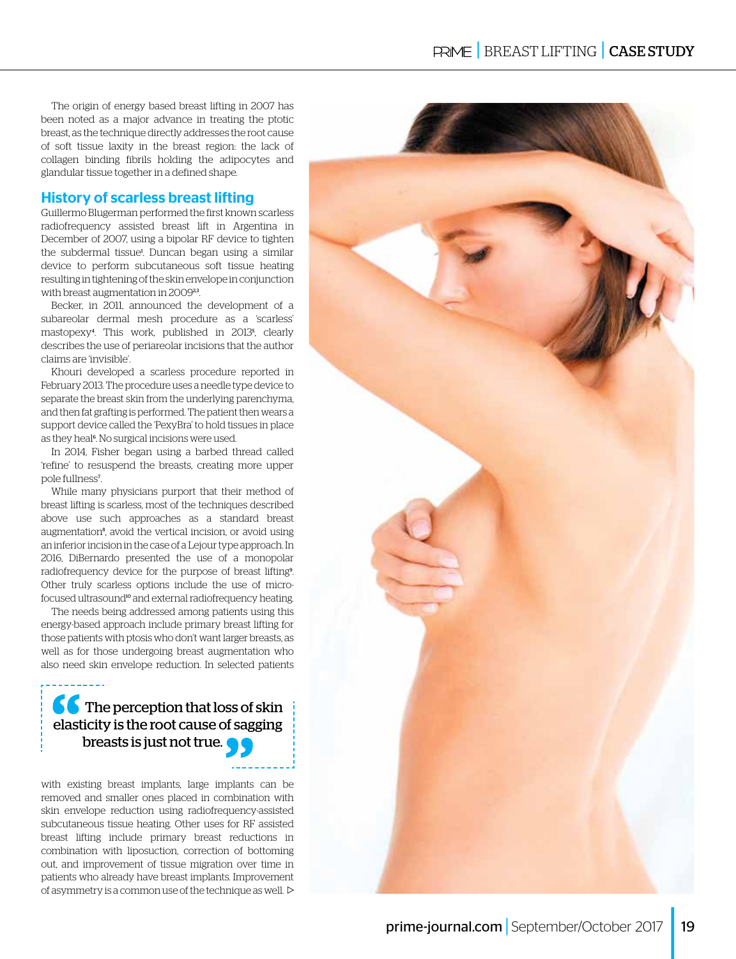The origin of energy based breast lifting in 2007 has been noted as a major advance in treating the ptotic breast, as the technique directly addresses the root cause of soft tissue laxity in the breast region: the lack of collagen binding fibrils holding the adipocytes and glandular tissue together in a defined shape.

#### History of scarless breast lifting

Guillermo Blugerman performed the first known scarless radiofrequency assisted breast lift in Argentina in December of 2007, using a bipolar RF device to tighten the subdermal tissue<sup>1</sup>. Duncan began using a similar device to perform subcutaneous soft tissue heating resulting in tightening of the skin envelope in conjunction with breast augmentation in 2009<sup>23</sup>.

Becker, in 2011, announced the development of a subareolar dermal mesh procedure as a 'scarless' mastopexy<sup>4</sup> . This work, published in 2013<sup>5</sup> , clearly describes the use of periareolar incisions that the author claims are 'invisible'.

Khouri developed a scarless procedure reported in February 2013. The procedure uses a needle type device to separate the breast skin from the underlying parenchyma, and then fat grafting is performed. The patient then wears a support device called the 'PexyBra' to hold tissues in place as they heal<sup>6</sup>. No surgical incisions were used.

In 2014, Fisher began using a barbed thread called 'refine' to resuspend the breasts, creating more upper pole fullness<sup>7</sup> .

While many physicians purport that their method of breast lifting is scarless, most of the techniques described above use such approaches as a standard breast augmentation<sup>8</sup>, avoid the vertical incision, or avoid using an inferior incision in the case of a Lejour type approach. In 2016, DiBernardo presented the use of a monopolar radiofrequency device for the purpose of breast lifting<sup>9</sup>. Other truly scarless options include the use of microfocused ultrasound<sup>10</sup> and external radiofrequency heating.

The needs being addressed among patients using this energy-based approach include primary breast lifting for those patients with ptosis who don't want larger breasts, as well as for those undergoing breast augmentation who also need skin envelope reduction. In selected patients

### **66** The perception that loss of skin elasticity is the root cause of sagging breasts is just not true.

with existing breast implants, large implants can be removed and smaller ones placed in combination with skin envelope reduction using radiofrequency-assisted subcutaneous tissue heating. Other uses for RF assisted breast lifting include primary breast reductions in combination with liposuction, correction of bottoming out, and improvement of tissue migration over time in patients who already have breast implants. Improvement of asymmetry is a common use of the technique as well.  $\triangleright$ 

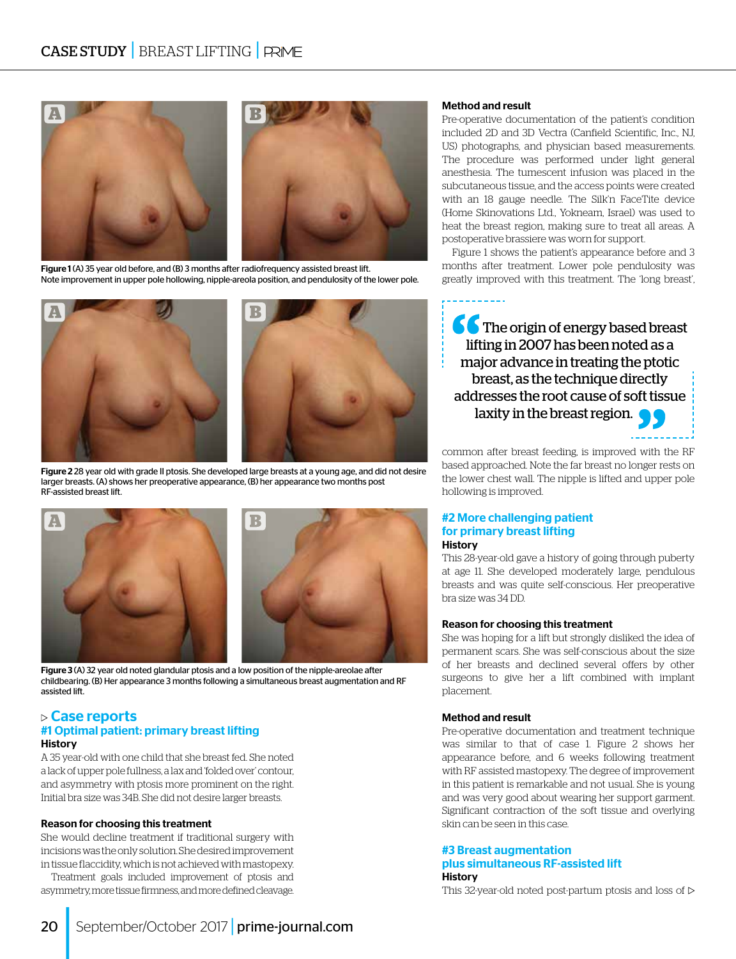

Figure 1 (A) 35 year old before, and (B) 3 months after radiofrequency assisted breast lift. Note improvement in upper pole hollowing, nipple-areola position, and pendulosity of the lower pole.



Figure 2 28 year old with grade II ptosis. She developed large breasts at a young age, and did not desire larger breasts. (A) shows her preoperative appearance, (B) her appearance two months post RF-assisted breast lift.



Figure 3 (A) 32 year old noted glandular ptosis and a low position of the nipple-areolae after childbearing. (B) Her appearance 3 months following a simultaneous breast augmentation and RF assisted lift.

#### $\triangleright$  Case reports #1 Optimal patient: primary breast lifting **History**

A 35 year-old with one child that she breast fed. She noted a lack of upper pole fullness, a lax and 'folded over' contour, and asymmetry with ptosis more prominent on the right. Initial bra size was 34B. She did not desire larger breasts.

#### Reason for choosing this treatment

She would decline treatment if traditional surgery with incisions was the only solution. She desired improvement in tissue flaccidity, which is not achieved with mastopexy.

Treatment goals included improvement of ptosis and asymmetry, more tissue firmness, and more defined cleavage.

#### Method and result

Pre-operative documentation of the patient's condition included 2D and 3D Vectra (Canfield Scientific, Inc., NJ, US) photographs, and physician based measurements. The procedure was performed under light general anesthesia. The tumescent infusion was placed in the subcutaneous tissue, and the access points were created with an 18 gauge needle. The Silk'n FaceTite device (Home Skinovations Ltd., Yokneam, Israel) was used to heat the breast region, making sure to treat all areas. A postoperative brassiere was worn for support.

Figure 1 shows the patient's appearance before and 3 months after treatment. Lower pole pendulosity was greatly improved with this treatment. The 'long breast',

**66** The origin of energy based breast lifting in 2007 has been noted as a major advance in treating the ptotic breast, as the technique directly addresses the root cause of soft tissue laxity in the breast region.

common after breast feeding, is improved with the RF based approached. Note the far breast no longer rests on the lower chest wall. The nipple is lifted and upper pole hollowing is improved.

#### #2 More challenging patient for primary breast lifting **History**

This 28-year-old gave a history of going through puberty at age 11. She developed moderately large, pendulous breasts and was quite self-conscious. Her preoperative bra size was 34 DD.

#### Reason for choosing this treatment

She was hoping for a lift but strongly disliked the idea of permanent scars. She was self-conscious about the size of her breasts and declined several offers by other surgeons to give her a lift combined with implant placement.

#### Method and result

Pre-operative documentation and treatment technique was similar to that of case 1. Figure 2 shows her appearance before, and 6 weeks following treatment with RF assisted mastopexy. The degree of improvement in this patient is remarkable and not usual. She is young and was very good about wearing her support garment. Significant contraction of the soft tissue and overlying skin can be seen in this case.

#### #3 Breast augmentation plus simultaneous RF-assisted lift **History**

This 32-year-old noted post-partum ptosis and loss of  $\triangleright$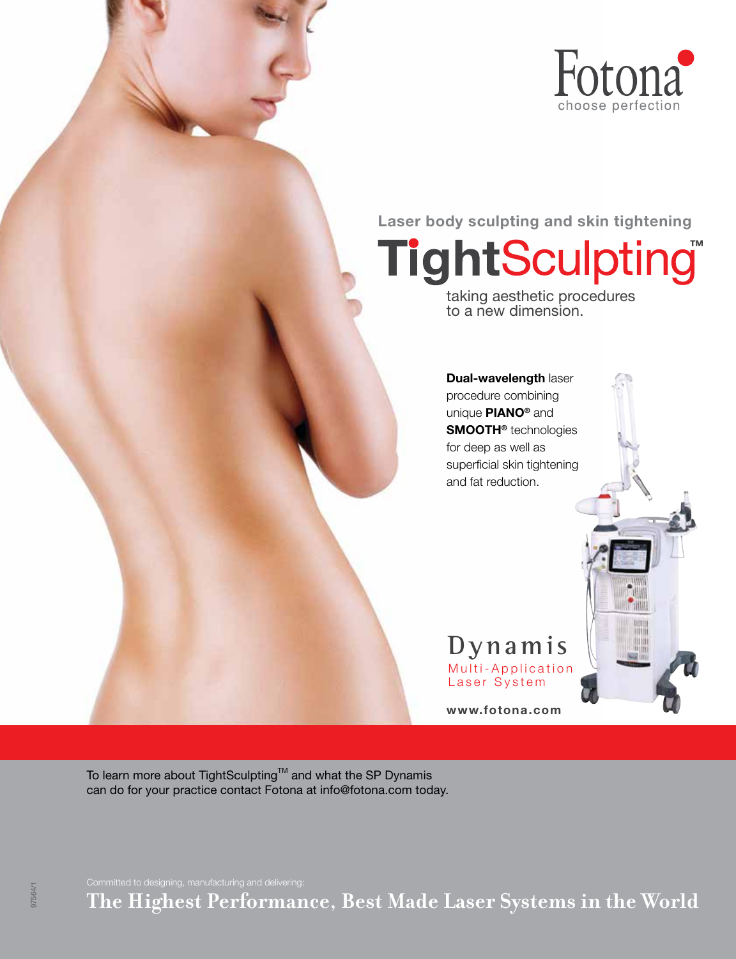

Laser body sculpting and skin tightening

**TightSculpting®** 

taking aesthetic procedures to a new dimension.

Dual-wavelength laser procedure combining unique PIANO® and SMOOTH® technologies for deep as well as superficial skin tightening and fat reduction.

Multi-Application Laser System **Dynamis**

www.fotona.com

To learn more about TightSculpting™ and what the SP Dynamis can do for your practice contact Fotona at info@fotona.com today.

**The Highest Performance, Best Made Laser Systems in the World**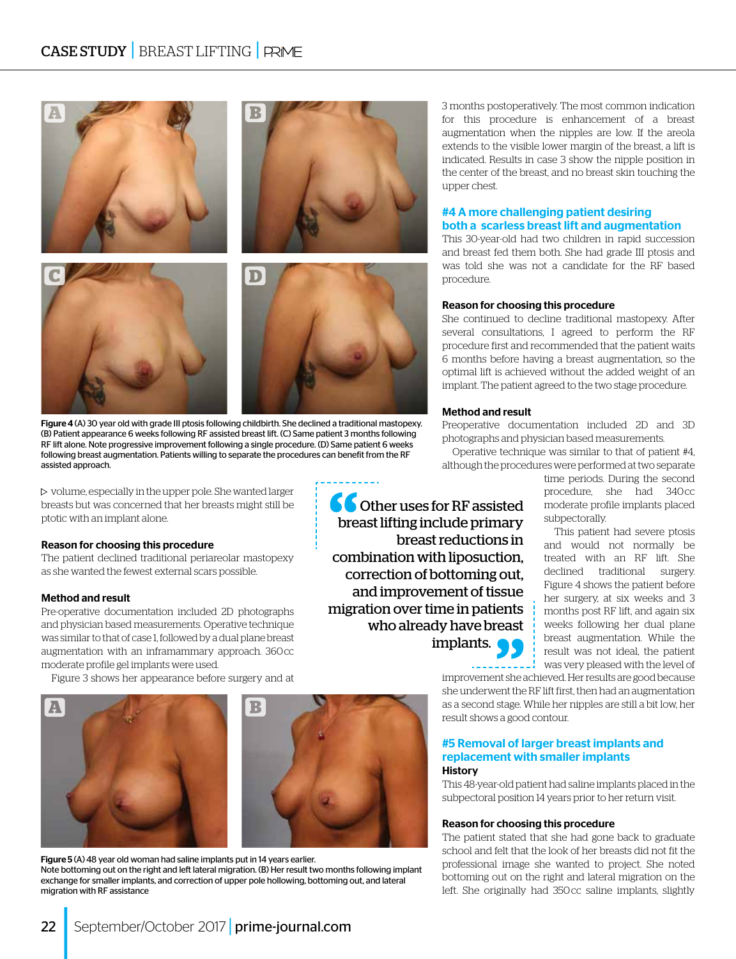

Figure 4 (A) 30 year old with grade III ptosis following childbirth. She declined a traditional mastopexy. (B) Patient appearance 6 weeks following RF assisted breast lift. (C) Same patient 3 months following RF lift alone. Note progressive improvement following a single procedure. (D) Same patient 6 weeks following breast augmentation. Patients willing to separate the procedures can benefit from the RF assisted approach.

 $\triangleright$  volume, especially in the upper pole. She wanted larger breasts but was concerned that her breasts might still be ptotic with an implant alone.

#### Reason for choosing this procedure

The patient declined traditional periareolar mastopexy as she wanted the fewest external scars possible.

#### Method and result

22

Pre-operative documentation included 2D photographs and physician based measurements. Operative technique was similar to that of case 1, followed by a dual plane breast augmentation with an inframammary approach. 360 cc moderate profile gel implants were used.

Figure 3 shows her appearance before surgery and at





Figure 5 (A) 48 year old woman had saline implants put in 14 years earlier. Note bottoming out on the right and left lateral migration. (B) Her result two months following implant exchange for smaller implants, and correction of upper pole hollowing, bottoming out, and lateral migration with RF assistance

3 months postoperatively. The most common indication for this procedure is enhancement of a breast augmentation when the nipples are low. If the areola extends to the visible lower margin of the breast, a lift is indicated. Results in case 3 show the nipple position in the center of the breast, and no breast skin touching the upper chest.

#### #4 A more challenging patient desiring both a scarless breast lift and augmentation

This 30-year-old had two children in rapid succession and breast fed them both. She had grade III ptosis and was told she was not a candidate for the RF based procedure.

#### Reason for choosing this procedure

She continued to decline traditional mastopexy. After several consultations, I agreed to perform the RF procedure first and recommended that the patient waits 6 months before having a breast augmentation, so the optimal lift is achieved without the added weight of an implant. The patient agreed to the two stage procedure.

#### Method and result

Preoperative documentation included 2D and 3D photographs and physician based measurements.

Operative technique was similar to that of patient #4, although the procedures were performed at two separate

**C** Other uses for RF assisted breast lifting include primary breast reductions in combination with liposuction, correction of bottoming out, and improvement of tissue migration over time in patients who already have breast implants.

time periods. During the second procedure, she had 340 cc moderate profile implants placed subpectorally.

This patient had severe ptosis and would not normally be treated with an RF lift. She declined traditional surgery. Figure 4 shows the patient before her surgery, at six weeks and 3 months post RF lift, and again six weeks following her dual plane breast augmentation. While the result was not ideal, the patient was very pleased with the level of

improvement she achieved. Her results are good because she underwent the RF lift first, then had an augmentation as a second stage. While her nipples are still a bit low, her result shows a good contour.

#### #5 Removal of larger breast implants and replacement with smaller implants History

This 48-year-old patient had saline implants placed in the subpectoral position 14 years prior to her return visit.

#### Reason for choosing this procedure

The patient stated that she had gone back to graduate school and felt that the look of her breasts did not fit the professional image she wanted to project. She noted bottoming out on the right and lateral migration on the left. She originally had 350 cc saline implants, slightly

September/October 2017 | prime-journal.com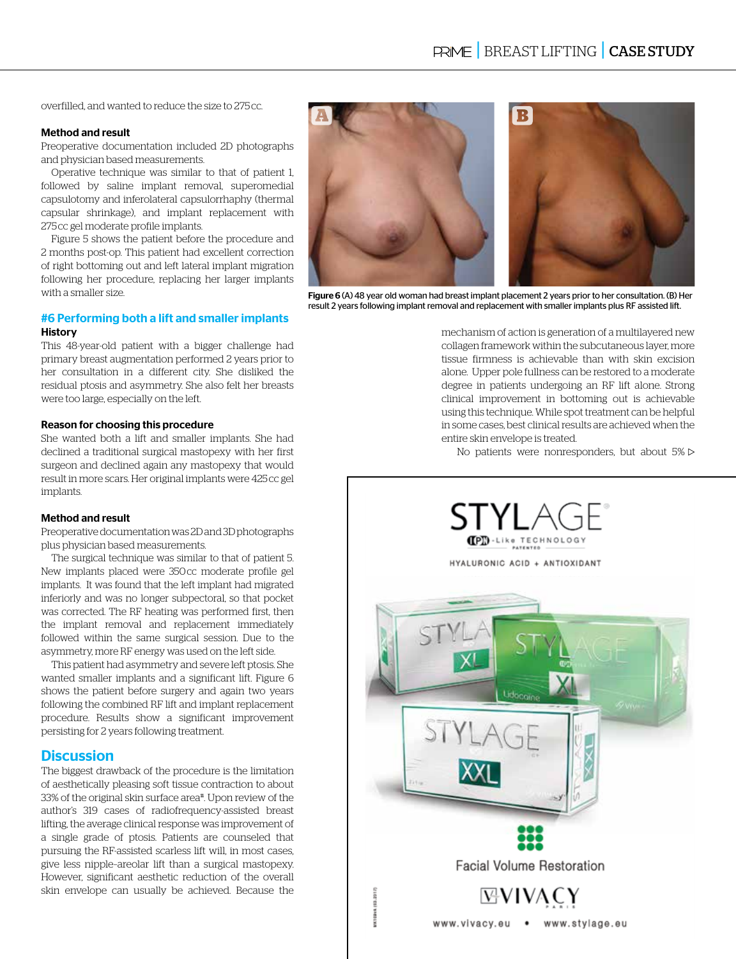overfilled, and wanted to reduce the size to 275 cc.

#### Method and result

Preoperative documentation included 2D photographs and physician based measurements.

Operative technique was similar to that of patient 1, followed by saline implant removal, superomedial capsulotomy and inferolateral capsulorrhaphy (thermal capsular shrinkage), and implant replacement with 275 cc gel moderate profile implants.

Figure 5 shows the patient before the procedure and 2 months post-op. This patient had excellent correction of right bottoming out and left lateral implant migration following her procedure, replacing her larger implants with a smaller size.

#### #6 Performing both a lift and smaller implants History

This 48-year-old patient with a bigger challenge had primary breast augmentation performed 2 years prior to her consultation in a different city. She disliked the residual ptosis and asymmetry. She also felt her breasts were too large, especially on the left.

#### Reason for choosing this procedure

She wanted both a lift and smaller implants. She had declined a traditional surgical mastopexy with her first surgeon and declined again any mastopexy that would result in more scars. Her original implants were 425 cc gel implants.

#### Method and result

Preoperative documentation was 2D and 3D photographs plus physician based measurements.

The surgical technique was similar to that of patient 5. New implants placed were 350 cc moderate profile gel implants. It was found that the left implant had migrated inferiorly and was no longer subpectoral, so that pocket was corrected. The RF heating was performed first, then the implant removal and replacement immediately followed within the same surgical session. Due to the asymmetry, more RF energy was used on the left side.

This patient had asymmetry and severe left ptosis. She wanted smaller implants and a significant lift. Figure 6 shows the patient before surgery and again two years following the combined RF lift and implant replacement procedure. Results show a significant improvement persisting for 2 years following treatment.

#### **Discussion**

The biggest drawback of the procedure is the limitation of aesthetically pleasing soft tissue contraction to about 33% of the original skin surface area<sup>11</sup>. Upon review of the author's 319 cases of radiofrequency-assisted breast lifting, the average clinical response was improvement of a single grade of ptosis. Patients are counseled that pursuing the RF-assisted scarless lift will, in most cases, give less nipple–areolar lift than a surgical mastopexy. However, significant aesthetic reduction of the overall skin envelope can usually be achieved. Because the



Figure 6 (A) 48 year old woman had breast implant placement 2 years prior to her consultation. (B) Her result 2 years following implant removal and replacement with smaller implants plus RF assisted lift.

mechanism of action is generation of a multilayered new collagen framework within the subcutaneous layer, more tissue firmness is achievable than with skin excision alone. Upper pole fullness can be restored to a moderate degree in patients undergoing an RF lift alone. Strong clinical improvement in bottoming out is achievable using this technique. While spot treatment can be helpful in some cases, best clinical results are achieved when the entire skin envelope is treated.

No patients were nonresponders, but about  $5\%$   $\triangleright$ 

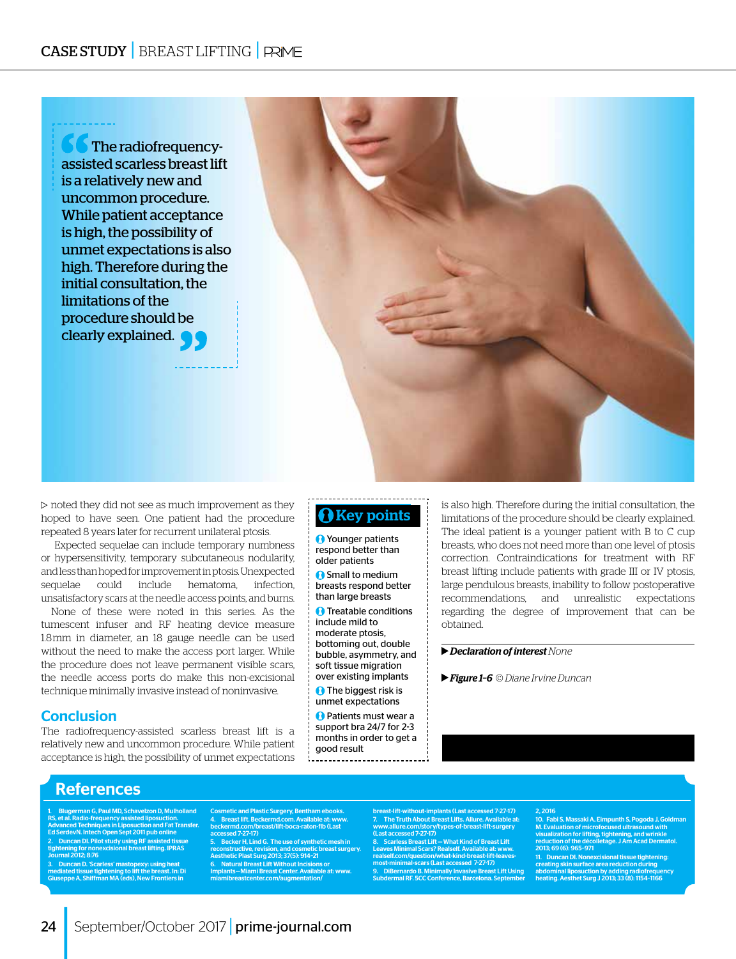

 $\triangleright$  noted they did not see as much improvement as they  $\blacksquare$   $\blacksquare$   $\blacksquare$   $\blacksquare$   $\blacksquare$   $\blacksquare$   $\blacksquare$   $\blacksquare$   $\blacksquare$   $\blacksquare$   $\blacksquare$   $\blacksquare$   $\blacksquare$   $\blacksquare$   $\blacksquare$   $\blacksquare$   $\blacksquare$   $\blacksquare$   $\blacksquare$   $\blacksquare$   $\blacksquare$   $\blacksquare$   $\blacksquare$   $\$ repeated 8 years later for recurrent unilateral ptosis.

 Expected sequelae can include temporary numbness or hypersensitivity, temporary subcutaneous nodularity, and less than hoped for improvement in ptosis. Unexpected sequelae could include hematoma, infection, unsatisfactory scars at the needle access points, and burns.

None of these were noted in this series. As the tumescent infuser and RF heating device measure 1.8 mm in diameter, an 18 gauge needle can be used without the need to make the access port larger. While the procedure does not leave permanent visible scars, the needle access ports do make this non-excisional technique minimally invasive instead of noninvasive.

#### Conclusion

The radiofrequency-assisted scarless breast lift is a relatively new and uncommon procedure. While patient acceptance is high, the possibility of unmet expectations

**O** Younger patients respond better than older patients **O** Small to medium breasts respond better

than large breasts **O** Treatable conditions

include mild to moderate ptosis, bottoming out, double bubble, asymmetry, and soft tissue migration over existing implants

**O** The biggest risk is unmet expectations

**Patients must wear a** support bra 24/7 for 2-3 months in order to get a good result -----------------------------

is also high. Therefore during the initial consultation, the limitations of the procedure should be clearly explained. The ideal patient is a younger patient with B to C cup breasts, who does not need more than one level of ptosis correction. Contraindications for treatment with RF breast lifting include patients with grade III or IV ptosis, large pendulous breasts, inability to follow postoperative recommendations, and unrealistic expectations regarding the degree of improvement that can be obtained.

#### *Declaration of interest None*

#### *Figure 1–6* © *Diane Irvine Duncan*

#### References

.<br>Iman G, Paul MD, Schavelzon D, Mulholland RS, et al. Radio-frequency assisted liposuction. Advanced Techniques in Liposuction and Fat Transfer. Ed SerdevN. Intech Open Sept 2011 pub online 2. Duncan Dl. Pilot study using RF assisted tissue<br>tightening for nonexcisional breast lifting. IPRAS<br>Journal 2012; 8:76<br>3. Duncan D. 'Scarless' mastopexy: using heat<br>mediated tissue tightening to lift the breast. In: Di<br>G

Cosmetic and Plastic Surgery, Bentham ebooks. 4. Breast lift. Beckermd.com. Available at: www. beckermd.com/breast/lift-boca-raton-flb (Last

accessed 7-27-17) 5. Becker H, Lind G. The use of synthetic mesh in reconstructive, revision, and cosmetic breast surgery. Aesthetic Plast Surg 2013; 37(5): 914–21

6. Natural Breast Lift Without Incisions or Implants—Miami Breast Center. Available at: www. miamibreastcenter.com/augmentation/

breast-lift-without-implants (Last accessed 7-27-17) 7. The Truth About Breast Lifts. Allure. Available at: www.allure.com/story/types-of-breast-lift-surgery (Last accessed 7-27-17) 8. Scarless Breast Lift—What Kind of Breast Lift

Leaves Minimal Scars? Realself. Available at: www. realself.com/question/what-kind-breast-lift-leaves-most-minimal-scars (Last accessed 7-27-17)

9. DiBernardo B. Minimally Invasive Breast Lift Using Subdermal RF. 5CC Conference, Barcelona. September

#### 2, 2016

10. Fabi S, Massaki A, Eimpunth S, Pogoda J, Goldman M. Evaluation of microfocused ultrasound with visualization for lifting, tightening, and wrinkle reduction of the décolletage. J Am Acad Dermatol. 2013; 69 (6): 965–971

11. Duncan DI. Nonexcisional tissue tightening: creating skin surface area reduction during abdominal liposuction by adding radiofrequency heating. Aesthet Surg J 2013; 33 (8): 1154–1166